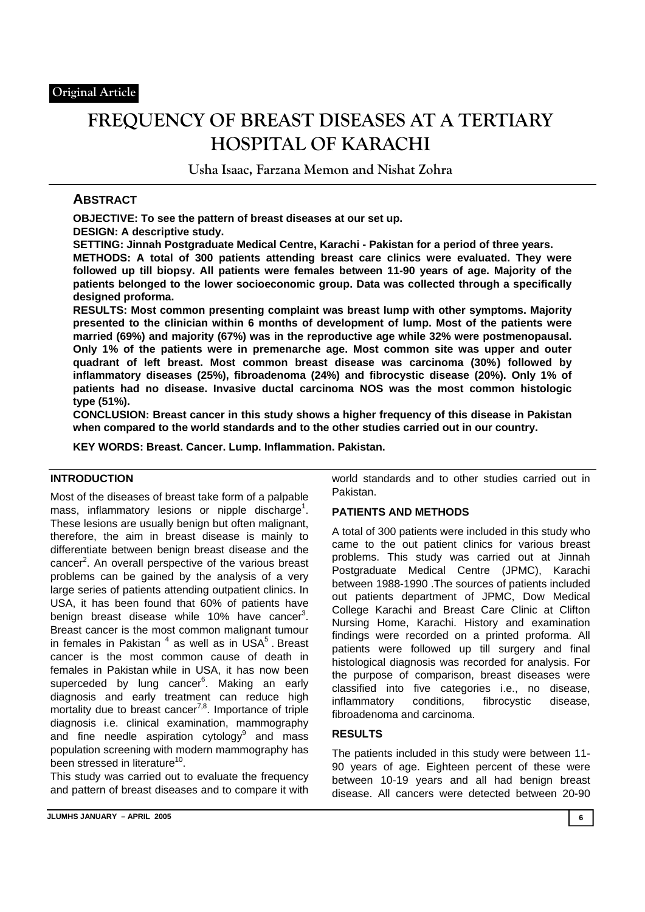# **FREQUENCY OF BREAST DISEASES AT A TERTIARY HOSPITAL OF KARACHI**

**Usha Isaac, Farzana Memon and Nishat Zohra**

# **ABSTRACT**

**OBJECTIVE: To see the pattern of breast diseases at our set up.** 

**DESIGN: A descriptive study.** 

**SETTING: Jinnah Postgraduate Medical Centre, Karachi - Pakistan for a period of three years. METHODS: A total of 300 patients attending breast care clinics were evaluated. They were followed up till biopsy. All patients were females between 11-90 years of age. Majority of the patients belonged to the lower socioeconomic group. Data was collected through a specifically designed proforma.** 

**RESULTS: Most common presenting complaint was breast lump with other symptoms. Majority presented to the clinician within 6 months of development of lump. Most of the patients were married (69%) and majority (67%) was in the reproductive age while 32% were postmenopausal. Only 1% of the patients were in premenarche age. Most common site was upper and outer quadrant of left breast. Most common breast disease was carcinoma (30%) followed by inflammatory diseases (25%), fibroadenoma (24%) and fibrocystic disease (20%). Only 1% of patients had no disease. Invasive ductal carcinoma NOS was the most common histologic type (51%).** 

**CONCLUSION: Breast cancer in this study shows a higher frequency of this disease in Pakistan when compared to the world standards and to the other studies carried out in our country.** 

**KEY WORDS: Breast. Cancer. Lump. Inflammation. Pakistan.** 

## **INTRODUCTION**

Most of the diseases of breast take form of a palpable mass, inflammatory lesions or nipple discharge<sup>1</sup>. These lesions are usually benign but often malignant, therefore, the aim in breast disease is mainly to differentiate between benign breast disease and the cancer<sup>2</sup>. An overall perspective of the various breast problems can be gained by the analysis of a very large series of patients attending outpatient clinics. In USA, it has been found that 60% of patients have benign breast disease while 10% have cancer<sup>3</sup>. Breast cancer is the most common malignant tumour in females in Pakistan  $<sup>4</sup>$  as well as in USA $<sup>5</sup>$ . Breast</sup></sup> cancer is the most common cause of death in females in Pakistan while in USA, it has now been superceded by lung cancer<sup>6</sup>. Making an early diagnosis and early treatment can reduce high mortality due to breast cancer<sup>7,8</sup>. Importance of triple diagnosis i.e. clinical examination, mammography and fine needle aspiration  $cytology<sup>9</sup>$  and mass population screening with modern mammography has been stressed in literature<sup>10</sup>.

This study was carried out to evaluate the frequency and pattern of breast diseases and to compare it with world standards and to other studies carried out in Pakistan.

## **PATIENTS AND METHODS**

A total of 300 patients were included in this study who came to the out patient clinics for various breast problems. This study was carried out at Jinnah Postgraduate Medical Centre (JPMC), Karachi between 1988-1990 .The sources of patients included out patients department of JPMC, Dow Medical College Karachi and Breast Care Clinic at Clifton Nursing Home, Karachi. History and examination findings were recorded on a printed proforma. All patients were followed up till surgery and final histological diagnosis was recorded for analysis. For the purpose of comparison, breast diseases were classified into five categories i.e., no disease, inflammatory conditions, fibrocystic disease, fibroadenoma and carcinoma.

## **RESULTS**

The patients included in this study were between 11- 90 years of age. Eighteen percent of these were between 10-19 years and all had benign breast disease. All cancers were detected between 20-90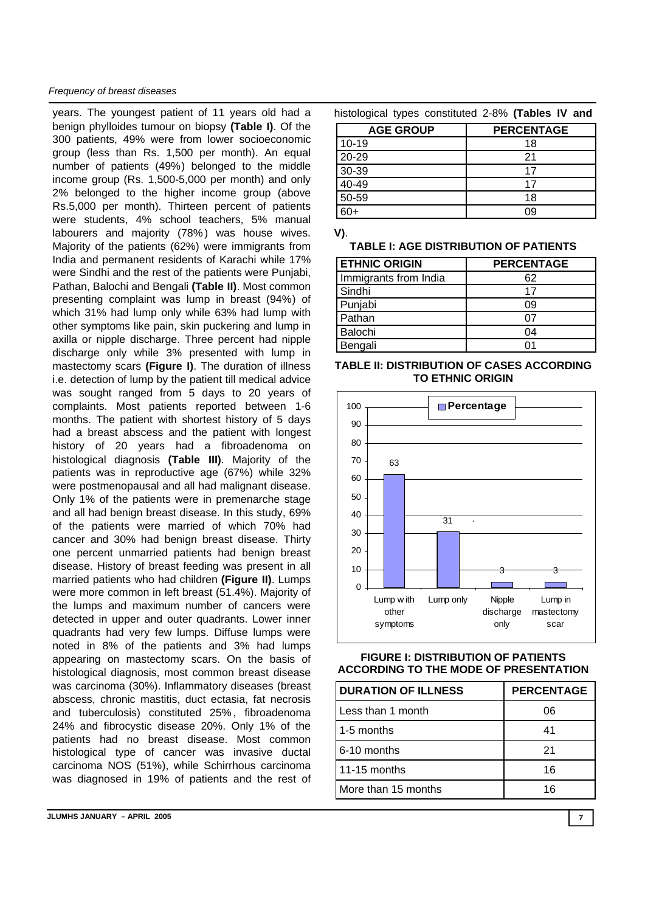years. The youngest patient of 11 years old had a benign phylloides tumour on biopsy **(Table I)**. Of the 300 patients, 49% were from lower socioeconomic group (less than Rs. 1,500 per month). An equal number of patients (49%) belonged to the middle income group (Rs. 1,500-5,000 per month) and only 2% belonged to the higher income group (above Rs.5,000 per month). Thirteen percent of patients were students, 4% school teachers, 5% manual labourers and majority (78% ) was house wives. Majority of the patients (62%) were immigrants from India and permanent residents of Karachi while 17% were Sindhi and the rest of the patients were Punjabi, Pathan, Balochi and Bengali **(Table II)**. Most common presenting complaint was lump in breast (94%) of which 31% had lump only while 63% had lump with other symptoms like pain, skin puckering and lump in axilla or nipple discharge. Three percent had nipple discharge only while 3% presented with lump in mastectomy scars **(Figure I)**. The duration of illness i.e. detection of lump by the patient till medical advice was sought ranged from 5 days to 20 years of complaints. Most patients reported between 1-6 months. The patient with shortest history of 5 days had a breast abscess and the patient with longest history of 20 years had a fibroadenoma on histological diagnosis **(Table III)**. Majority of the patients was in reproductive age (67%) while 32% were postmenopausal and all had malignant disease. Only 1% of the patients were in premenarche stage and all had benign breast disease. In this study, 69% of the patients were married of which 70% had cancer and 30% had benign breast disease. Thirty one percent unmarried patients had benign breast disease. History of breast feeding was present in all married patients who had children **(Figure II)**. Lumps were more common in left breast (51.4%). Majority of the lumps and maximum number of cancers were detected in upper and outer quadrants. Lower inner quadrants had very few lumps. Diffuse lumps were noted in 8% of the patients and 3% had lumps appearing on mastectomy scars. On the basis of histological diagnosis, most common breast disease was carcinoma (30%). Inflammatory diseases (breast abscess, chronic mastitis, duct ectasia, fat necrosis and tuberculosis) constituted 25% , fibroadenoma 24% and fibrocystic disease 20%. Only 1% of the patients had no breast disease. Most common histological type of cancer was invasive ductal carcinoma NOS (51%), while Schirrhous carcinoma was diagnosed in 19% of patients and the rest of

histological types constituted 2-8% **(Tables IV and** 

| <b>AGE GROUP</b> | <b>PERCENTAGE</b> |
|------------------|-------------------|
| $10 - 19$        | 18                |
| 20-29            | 21                |
| 30-39            | 17                |
| 40-49            | 17                |
| 50-59            | 18                |
| 60+              | ωä                |

**V)**.

#### **TABLE I: AGE DISTRIBUTION OF PATIENTS**

| <b>ETHNIC ORIGIN</b>  | <b>PERCENTAGE</b> |
|-----------------------|-------------------|
| Immigrants from India | 62                |
| Sindhi                | 17                |
| Punjabi               | 09                |
| Pathan                |                   |
| Balochi               | 04                |
| Bengali               |                   |

### **TABLE II: DISTRIBUTION OF CASES ACCORDING TO ETHNIC ORIGIN**



#### **FIGURE I: DISTRIBUTION OF PATIENTS ACCORDING TO THE MODE OF PRESENTATION**

| <b>DURATION OF ILLNESS</b> | <b>PERCENTAGE</b> |
|----------------------------|-------------------|
| Less than 1 month          | 06                |
| 1-5 months                 | 41                |
| 6-10 months                | 21                |
| l 11-15 months             | 16                |
| More than 15 months        | 16                |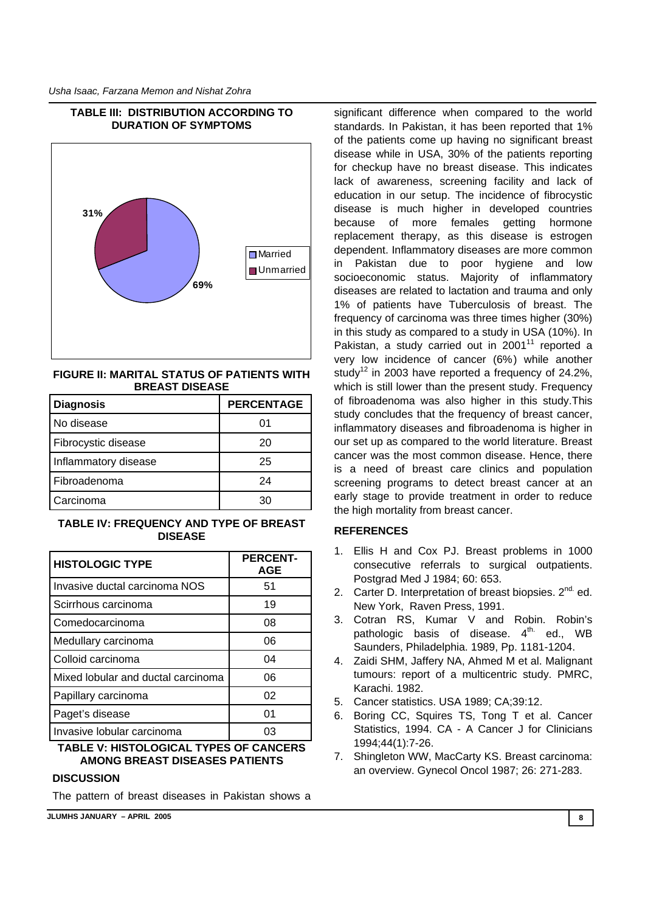*Usha Isaac, Farzana Memon and Nishat Zohra* 



**FIGURE II: MARITAL STATUS OF PATIENTS WITH BREAST DISEASE** 

| <b>Diagnosis</b>     | <b>PERCENTAGE</b> |
|----------------------|-------------------|
| No disease           | 01                |
| Fibrocystic disease  | 20                |
| Inflammatory disease | 25                |
| Fibroadenoma         | 24                |
| Carcinoma            | 30                |

**TABLE IV: FREQUENCY AND TYPE OF BREAST DISEASE** 

| <b>HISTOLOGIC TYPE</b>             | <b>PERCENT-</b><br><b>AGE</b> |
|------------------------------------|-------------------------------|
| Invasive ductal carcinoma NOS      | 51                            |
| Scirrhous carcinoma                | 19                            |
| Comedocarcinoma                    | 08                            |
| Medullary carcinoma                | 06                            |
| Colloid carcinoma                  | 04                            |
| Mixed lobular and ductal carcinoma | 06                            |
| Papillary carcinoma                | 02                            |
| Paget's disease                    | 01                            |
| Invasive lobular carcinoma         | በ3                            |

**TABLE V: HISTOLOGICAL TYPES OF CANCERS AMONG BREAST DISEASES PATIENTS** 

## **DISCUSSION**

The pattern of breast diseases in Pakistan shows a

**JLUMHS JANUARY – APRIL 2005 8** 

significant difference when compared to the world standards. In Pakistan, it has been reported that 1% of the patients come up having no significant breast disease while in USA, 30% of the patients reporting for checkup have no breast disease. This indicates lack of awareness, screening facility and lack of education in our setup. The incidence of fibrocystic disease is much higher in developed countries because of more females getting hormone replacement therapy, as this disease is estrogen dependent. Inflammatory diseases are more common in Pakistan due to poor hygiene and low socioeconomic status. Majority of inflammatory diseases are related to lactation and trauma and only 1% of patients have Tuberculosis of breast. The frequency of carcinoma was three times higher (30%) in this study as compared to a study in USA (10%). In Pakistan, a study carried out in  $2001<sup>11</sup>$  reported a very low incidence of cancer (6%) while another study<sup>12</sup> in 2003 have reported a frequency of 24.2%, which is still lower than the present study. Frequency of fibroadenoma was also higher in this study.This study concludes that the frequency of breast cancer, inflammatory diseases and fibroadenoma is higher in our set up as compared to the world literature. Breast cancer was the most common disease. Hence, there is a need of breast care clinics and population screening programs to detect breast cancer at an early stage to provide treatment in order to reduce the high mortality from breast cancer.

# **REFERENCES**

- 1. Ellis H and Cox PJ. Breast problems in 1000 consecutive referrals to surgical outpatients. Postgrad Med J 1984; 60: 653.
- 2. Carter D. Interpretation of breast biopsies.  $2^{nd}$  ed. New York, Raven Press, 1991.
- 3. Cotran RS, Kumar V and Robin. Robin's pathologic basis of disease.  $4<sup>th</sup>$  ed., WB Saunders, Philadelphia. 1989, Pp. 1181-1204.
- 4. Zaidi SHM, Jaffery NA, Ahmed M et al. Malignant tumours: report of a multicentric study. PMRC, Karachi. 1982.
- 5. Cancer statistics. USA 1989; CA;39:12.
- 6. Boring CC, Squires TS, Tong T et al. Cancer Statistics, 1994. CA - A Cancer J for Clinicians 1994;44(1):7-26.
- 7. Shingleton WW, MacCarty KS. Breast carcinoma: an overview. Gynecol Oncol 1987; 26: 271-283.